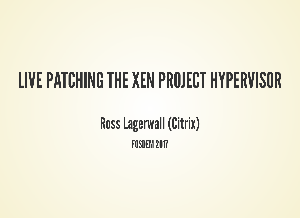#### LIVE PATCHING THE XEN PROJECT HYPERVISOR

Ross Lagerwall (Citrix)

FOSDEM 2017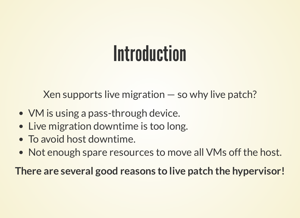#### **Introduction**

Xen supports live migration — so why live patch?

- VM is using a pass-through device.
- Live migration downtime is too long.
- To avoid host downtime.
- Not enough spare resources to move all VMs off the host.

**There are several good reasons to live patch the hypervisor!**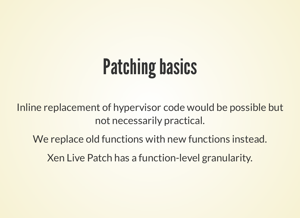### **Patching basics**

Inline replacement of hypervisor code would be possible but not necessarily practical.

We replace old functions with new functions instead.

Xen Live Patch has a function-level granularity.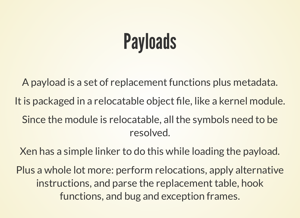### **Payloads**

A payload is a set of replacement functions plus metadata. It is packaged in a relocatable object file, like a kernel module. Since the module is relocatable, all the symbols need to be resolved.

Xen has a simple linker to do this while loading the payload.

Plus a whole lot more: perform relocations, apply alternative instructions, and parse the replacement table, hook functions, and bug and exception frames.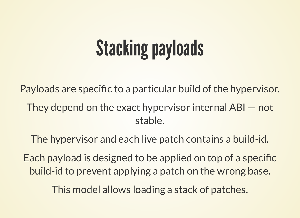## **Stacking payloads**

Payloads are specific to a particular build of the hypervisor. They depend on the exact hypervisor internal ABI — not stable.

The hypervisor and each live patch contains a build-id.

Each payload is designed to be applied on top of a specific build-id to prevent applying a patch on the wrong base.

This model allows loading a stack of patches.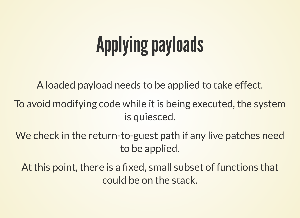## **Applying payloads**

A loaded payload needs to be applied to take effect.

To avoid modifying code while it is being executed, the system is quiesced.

We check in the return-to-guest path if any live patches need to be applied.

At this point, there is a fixed, small subset of functions that could be on the stack.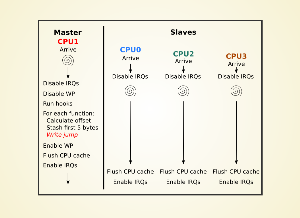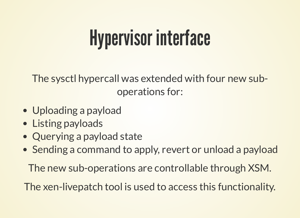#### Hypervisor interface

The sysctl hypercall was extended with four new suboperations for:

- Uploading a payload
- Listing payloads
- Querying a payload state
- Sending a command to apply, revert or unload a payload

The new sub-operations are controllable through XSM.

The xen-livepatch tool is used to access this functionality.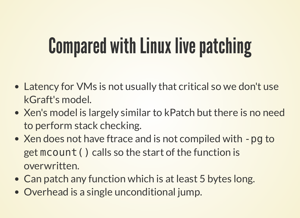#### **Compared with Linux live patching**

- Latency for VMs is not usually that critical so we don't use kGraft's model.
- Xen's model is largely similar to kPatch but there is no need to perform stack checking.
- Xen does not have ftrace and is not compiled with -pg to get mcount() calls so the start of the function is overwritten.
- Can patch any function which is at least 5 bytes long.
- Overhead is a single unconditional jump.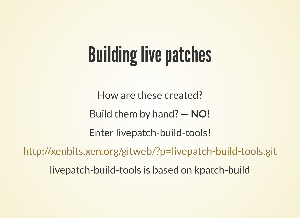## **Building live patches**

How are these created? Build them by hand? — **NO!** Enter livepatch-build-tools! livepatch-build-tools is based on kpatch-build <http://xenbits.xen.org/gitweb/?p=livepatch-build-tools.git>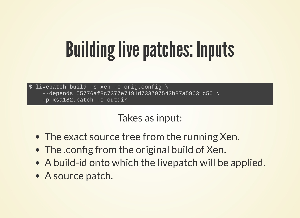### **Building live patches: Inputs**

 $$$  livepatch-build -s xen -c orig.config \ depends 55776af8c7377e7191d733797543b87a59631c50 \ -p xsa182.patch -o outdir

Takes as input:

- The exact source tree from the running Xen.
- The .config from the original build of Xen.
- A build-id onto which the livepatch will be applied.
- A source patch.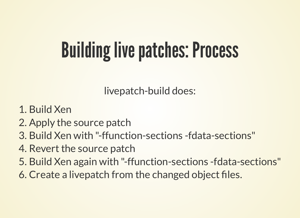### **Building live patches: Process**

livepatch-build does:

- 1. Build Xen
- 2. Apply the source patch
- 3. Build Xen with "-ffunction-sections -fdata-sections"
- 4. Revert the source patch
- 5. Build Xen again with "-ffunction-sections -fdata-sections"
- 6. Create a livepatch from the changed object files.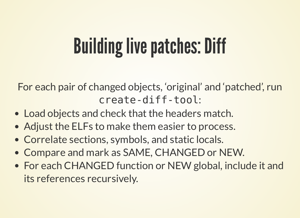### **Building live patches: Diff**

For each pair of changed objects, 'original' and 'patched' , run : create-diff-tool

- Load objects and check that the headers match.
- Adjust the ELFs to make them easier to process.
- Correlate sections, symbols, and static locals.
- Compare and mark as SAME, CHANGED or NEW.
- For each CHANGED function or NEW global, include it and its references recursively.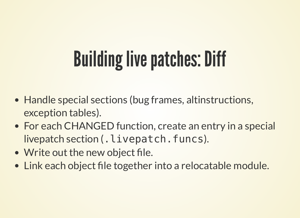# **Building live patches: Diff**

- Handle special sections (bug frames, altinstructions, exception tables).
- For each CHANGED function, create an entry in a special livepatch section (. livepatch.funcs).
- Write out the new object file.
- Link each object file together into a relocatable module.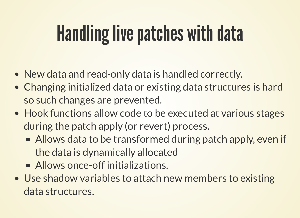## Handling live patches with data

- New data and read-only data is handled correctly.
- Changing initialized data or existing data structures is hard so such changes are prevented.
- Hook functions allow code to be executed at various stages during the patch apply (or revert) process.
	- Allows data to be transformed during patch apply, even if the data is dynamically allocated
	- Allows once-off initializations.
- Use shadow variables to attach new members to existing data structures.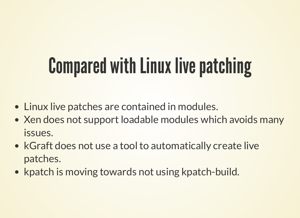## **Compared with Linux live patching**

- Linux live patches are contained in modules.
- Xen does not support loadable modules which avoids many issues.
- kGraft does not use a tool to automatically create live patches.
- kpatch is moving towards not using kpatch-build.